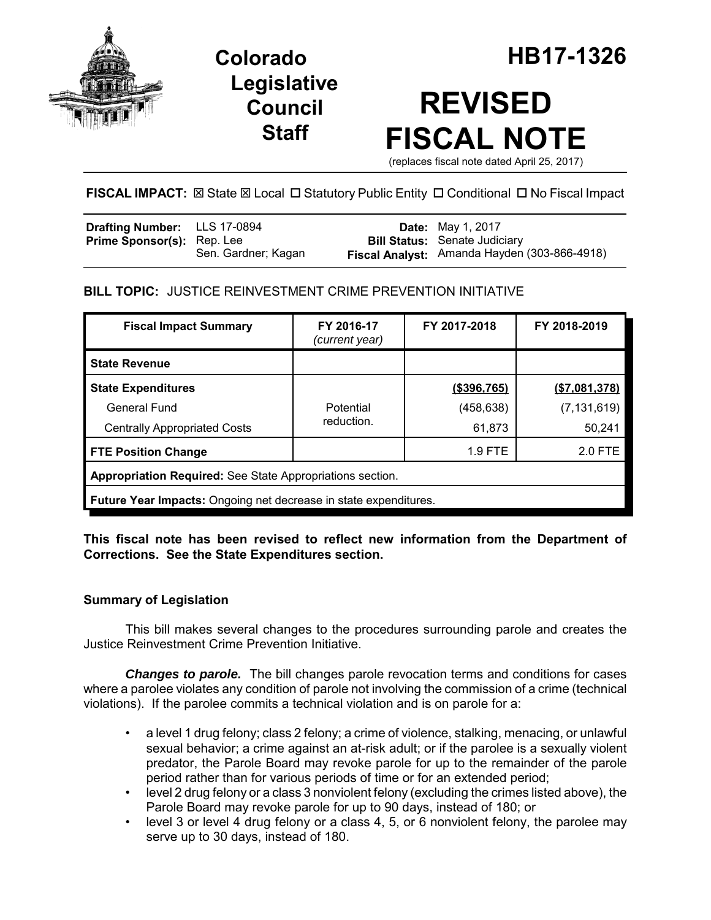

**Legislative Council Staff**

# **REVISED FISCAL NOTE**

(replaces fiscal note dated April 25, 2017)

FISCAL IMPACT:  $\boxtimes$  State  $\boxtimes$  Local  $\Box$  Statutory Public Entity  $\Box$  Conditional  $\Box$  No Fiscal Impact

| <b>Drafting Number:</b> LLS 17-0894 |                     | <b>Date:</b> May 1, 2017                                                             |
|-------------------------------------|---------------------|--------------------------------------------------------------------------------------|
| <b>Prime Sponsor(s):</b> Rep. Lee   | Sen. Gardner; Kagan | <b>Bill Status:</b> Senate Judiciary<br>Fiscal Analyst: Amanda Hayden (303-866-4918) |

**BILL TOPIC:** JUSTICE REINVESTMENT CRIME PREVENTION INITIATIVE

| <b>Fiscal Impact Summary</b>                                            | FY 2016-17<br>(current year) | FY 2017-2018   | FY 2018-2019   |  |  |  |
|-------------------------------------------------------------------------|------------------------------|----------------|----------------|--|--|--|
| <b>State Revenue</b>                                                    |                              |                |                |  |  |  |
| <b>State Expenditures</b>                                               |                              | $($ \$396,765) | ( \$7,081,378) |  |  |  |
| <b>General Fund</b>                                                     | Potential                    | (458, 638)     | (7, 131, 619)  |  |  |  |
| <b>Centrally Appropriated Costs</b>                                     | reduction.                   | 61,873         | 50,241         |  |  |  |
| <b>FTE Position Change</b>                                              |                              | $1.9$ FTE      | 2.0 FTE        |  |  |  |
| Appropriation Required: See State Appropriations section.               |                              |                |                |  |  |  |
| <b>Future Year Impacts:</b> Ongoing net decrease in state expenditures. |                              |                |                |  |  |  |

**This fiscal note has been revised to reflect new information from the Department of Corrections. See the State Expenditures section.**

# **Summary of Legislation**

This bill makes several changes to the procedures surrounding parole and creates the Justice Reinvestment Crime Prevention Initiative.

*Changes to parole.* The bill changes parole revocation terms and conditions for cases where a parolee violates any condition of parole not involving the commission of a crime (technical violations). If the parolee commits a technical violation and is on parole for a:

- a level 1 drug felony; class 2 felony; a crime of violence, stalking, menacing, or unlawful sexual behavior; a crime against an at-risk adult; or if the parolee is a sexually violent predator, the Parole Board may revoke parole for up to the remainder of the parole period rather than for various periods of time or for an extended period;
- level 2 drug felony or a class 3 nonviolent felony (excluding the crimes listed above), the Parole Board may revoke parole for up to 90 days, instead of 180; or
- level 3 or level 4 drug felony or a class 4, 5, or 6 nonviolent felony, the parolee may serve up to 30 days, instead of 180.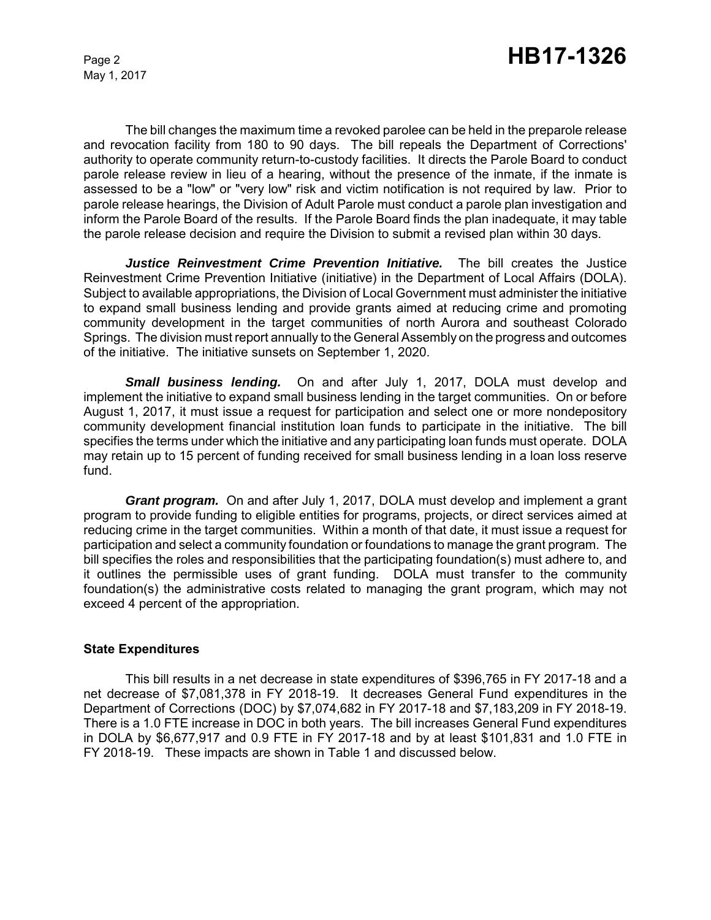The bill changes the maximum time a revoked parolee can be held in the preparole release and revocation facility from 180 to 90 days. The bill repeals the Department of Corrections' authority to operate community return-to-custody facilities. It directs the Parole Board to conduct parole release review in lieu of a hearing, without the presence of the inmate, if the inmate is assessed to be a "low" or "very low" risk and victim notification is not required by law. Prior to parole release hearings, the Division of Adult Parole must conduct a parole plan investigation and inform the Parole Board of the results. If the Parole Board finds the plan inadequate, it may table the parole release decision and require the Division to submit a revised plan within 30 days.

*Justice Reinvestment Crime Prevention Initiative.* The bill creates the Justice Reinvestment Crime Prevention Initiative (initiative) in the Department of Local Affairs (DOLA). Subject to available appropriations, the Division of Local Government must administer the initiative to expand small business lending and provide grants aimed at reducing crime and promoting community development in the target communities of north Aurora and southeast Colorado Springs. The division must report annually to the General Assembly on the progress and outcomes of the initiative. The initiative sunsets on September 1, 2020.

*Small business lending.* On and after July 1, 2017, DOLA must develop and implement the initiative to expand small business lending in the target communities. On or before August 1, 2017, it must issue a request for participation and select one or more nondepository community development financial institution loan funds to participate in the initiative. The bill specifies the terms under which the initiative and any participating loan funds must operate. DOLA may retain up to 15 percent of funding received for small business lending in a loan loss reserve fund.

*Grant program.* On and after July 1, 2017, DOLA must develop and implement a grant program to provide funding to eligible entities for programs, projects, or direct services aimed at reducing crime in the target communities. Within a month of that date, it must issue a request for participation and select a community foundation or foundations to manage the grant program. The bill specifies the roles and responsibilities that the participating foundation(s) must adhere to, and it outlines the permissible uses of grant funding. DOLA must transfer to the community foundation(s) the administrative costs related to managing the grant program, which may not exceed 4 percent of the appropriation.

#### **State Expenditures**

This bill results in a net decrease in state expenditures of \$396,765 in FY 2017-18 and a net decrease of \$7,081,378 in FY 2018-19. It decreases General Fund expenditures in the Department of Corrections (DOC) by \$7,074,682 in FY 2017-18 and \$7,183,209 in FY 2018-19. There is a 1.0 FTE increase in DOC in both years. The bill increases General Fund expenditures in DOLA by \$6,677,917 and 0.9 FTE in FY 2017-18 and by at least \$101,831 and 1.0 FTE in FY 2018-19. These impacts are shown in Table 1 and discussed below.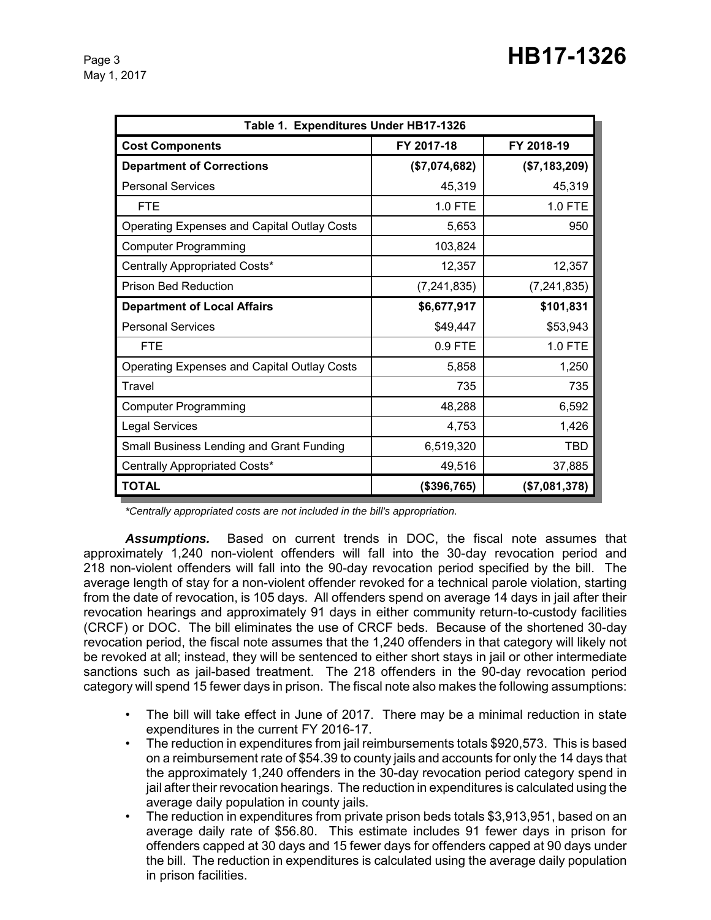| Table 1. Expenditures Under HB17-1326              |               |               |  |  |  |  |
|----------------------------------------------------|---------------|---------------|--|--|--|--|
| <b>Cost Components</b>                             | FY 2017-18    | FY 2018-19    |  |  |  |  |
| <b>Department of Corrections</b>                   | (\$7,074,682) | (\$7,183,209) |  |  |  |  |
| <b>Personal Services</b>                           | 45,319        | 45,319        |  |  |  |  |
| <b>FTE</b>                                         | 1.0 FTE       | 1.0 FTE       |  |  |  |  |
| <b>Operating Expenses and Capital Outlay Costs</b> | 5,653         | 950           |  |  |  |  |
| <b>Computer Programming</b>                        | 103,824       |               |  |  |  |  |
| Centrally Appropriated Costs*                      | 12,357        | 12,357        |  |  |  |  |
| <b>Prison Bed Reduction</b>                        | (7, 241, 835) | (7, 241, 835) |  |  |  |  |
| <b>Department of Local Affairs</b>                 | \$6,677,917   | \$101,831     |  |  |  |  |
| <b>Personal Services</b>                           | \$49,447      | \$53,943      |  |  |  |  |
| <b>FTE</b>                                         | 0.9 FTE       | 1.0 FTE       |  |  |  |  |
| <b>Operating Expenses and Capital Outlay Costs</b> | 5,858         | 1,250         |  |  |  |  |
| Travel                                             | 735           | 735           |  |  |  |  |
| <b>Computer Programming</b>                        | 48,288        | 6,592         |  |  |  |  |
| <b>Legal Services</b>                              | 4,753         | 1,426         |  |  |  |  |
| Small Business Lending and Grant Funding           | 6,519,320     | TBD           |  |  |  |  |
| Centrally Appropriated Costs*                      | 49,516        | 37,885        |  |  |  |  |
| <b>TOTAL</b>                                       | (\$396,765)   | (\$7,081,378) |  |  |  |  |

*\*Centrally appropriated costs are not included in the bill's appropriation.*

*Assumptions.* Based on current trends in DOC, the fiscal note assumes that approximately 1,240 non-violent offenders will fall into the 30-day revocation period and 218 non-violent offenders will fall into the 90-day revocation period specified by the bill. The average length of stay for a non-violent offender revoked for a technical parole violation, starting from the date of revocation, is 105 days. All offenders spend on average 14 days in jail after their revocation hearings and approximately 91 days in either community return-to-custody facilities (CRCF) or DOC. The bill eliminates the use of CRCF beds. Because of the shortened 30-day revocation period, the fiscal note assumes that the 1,240 offenders in that category will likely not be revoked at all; instead, they will be sentenced to either short stays in jail or other intermediate sanctions such as jail-based treatment. The 218 offenders in the 90-day revocation period category will spend 15 fewer days in prison. The fiscal note also makes the following assumptions:

- The bill will take effect in June of 2017. There may be a minimal reduction in state expenditures in the current FY 2016-17.
- The reduction in expenditures from jail reimbursements totals \$920,573. This is based on a reimbursement rate of \$54.39 to county jails and accounts for only the 14 days that the approximately 1,240 offenders in the 30-day revocation period category spend in jail after their revocation hearings. The reduction in expenditures is calculated using the average daily population in county jails.
- The reduction in expenditures from private prison beds totals \$3,913,951, based on an average daily rate of \$56.80. This estimate includes 91 fewer days in prison for offenders capped at 30 days and 15 fewer days for offenders capped at 90 days under the bill. The reduction in expenditures is calculated using the average daily population in prison facilities.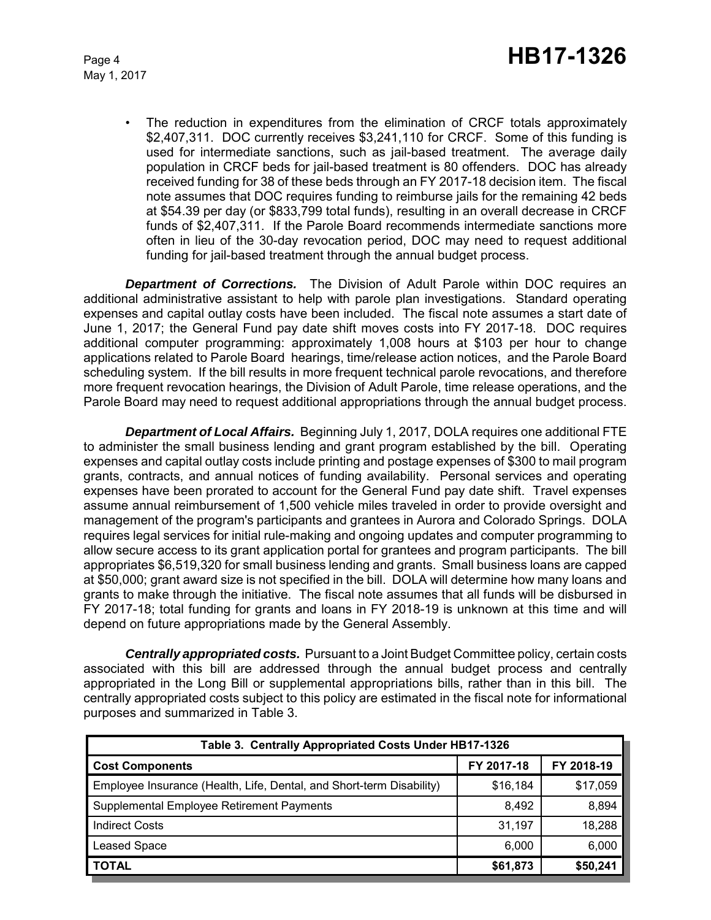The reduction in expenditures from the elimination of CRCF totals approximately \$2,407,311. DOC currently receives \$3,241,110 for CRCF. Some of this funding is used for intermediate sanctions, such as jail-based treatment. The average daily population in CRCF beds for jail-based treatment is 80 offenders. DOC has already received funding for 38 of these beds through an FY 2017-18 decision item. The fiscal note assumes that DOC requires funding to reimburse jails for the remaining 42 beds at \$54.39 per day (or \$833,799 total funds), resulting in an overall decrease in CRCF funds of \$2,407,311. If the Parole Board recommends intermediate sanctions more often in lieu of the 30-day revocation period, DOC may need to request additional funding for jail-based treatment through the annual budget process.

*Department of Corrections.* The Division of Adult Parole within DOC requires an additional administrative assistant to help with parole plan investigations. Standard operating expenses and capital outlay costs have been included. The fiscal note assumes a start date of June 1, 2017; the General Fund pay date shift moves costs into FY 2017-18. DOC requires additional computer programming: approximately 1,008 hours at \$103 per hour to change applications related to Parole Board hearings, time/release action notices, and the Parole Board scheduling system. If the bill results in more frequent technical parole revocations, and therefore more frequent revocation hearings, the Division of Adult Parole, time release operations, and the Parole Board may need to request additional appropriations through the annual budget process.

*Department of Local Affairs.* Beginning July 1, 2017, DOLA requires one additional FTE to administer the small business lending and grant program established by the bill. Operating expenses and capital outlay costs include printing and postage expenses of \$300 to mail program grants, contracts, and annual notices of funding availability. Personal services and operating expenses have been prorated to account for the General Fund pay date shift. Travel expenses assume annual reimbursement of 1,500 vehicle miles traveled in order to provide oversight and management of the program's participants and grantees in Aurora and Colorado Springs. DOLA requires legal services for initial rule-making and ongoing updates and computer programming to allow secure access to its grant application portal for grantees and program participants. The bill appropriates \$6,519,320 for small business lending and grants. Small business loans are capped at \$50,000; grant award size is not specified in the bill. DOLA will determine how many loans and grants to make through the initiative. The fiscal note assumes that all funds will be disbursed in FY 2017-18; total funding for grants and loans in FY 2018-19 is unknown at this time and will depend on future appropriations made by the General Assembly.

*Centrally appropriated costs.* Pursuant to a Joint Budget Committee policy, certain costs associated with this bill are addressed through the annual budget process and centrally appropriated in the Long Bill or supplemental appropriations bills, rather than in this bill. The centrally appropriated costs subject to this policy are estimated in the fiscal note for informational purposes and summarized in Table 3.

| Table 3. Centrally Appropriated Costs Under HB17-1326                |            |            |  |  |  |  |
|----------------------------------------------------------------------|------------|------------|--|--|--|--|
| <b>Cost Components</b>                                               | FY 2017-18 | FY 2018-19 |  |  |  |  |
| Employee Insurance (Health, Life, Dental, and Short-term Disability) | \$16,184   | \$17,059   |  |  |  |  |
| Supplemental Employee Retirement Payments                            | 8.492      | 8,894      |  |  |  |  |
| <b>Indirect Costs</b>                                                | 31.197     | 18,288     |  |  |  |  |
| <b>Leased Space</b>                                                  | 6,000      | 6,000      |  |  |  |  |
| <b>TOTAL</b>                                                         | \$61,873   | \$50,241   |  |  |  |  |